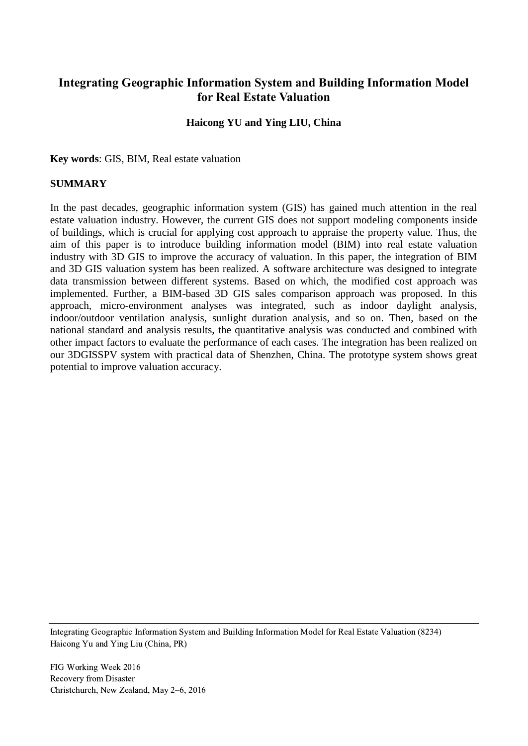# **Integrating Geographic Information System and Building Information Model for Real Estate Valuation**

# **Haicong YU and Ying LIU, China**

**Key words**: GIS, BIM, Real estate valuation

### **SUMMARY**

In the past decades, geographic information system (GIS) has gained much attention in the real estate valuation industry. However, the current GIS does not support modeling components inside of buildings, which is crucial for applying cost approach to appraise the property value. Thus, the aim of this paper is to introduce building information model (BIM) into real estate valuation industry with 3D GIS to improve the accuracy of valuation. In this paper, the integration of BIM and 3D GIS valuation system has been realized. A software architecture was designed to integrate data transmission between different systems. Based on which, the modified cost approach was implemented. Further, a BIM-based 3D GIS sales comparison approach was proposed. In this approach, micro-environment analyses was integrated, such as indoor daylight analysis, indoor/outdoor ventilation analysis, sunlight duration analysis, and so on. Then, based on the national standard and analysis results, the quantitative analysis was conducted and combined with other impact factors to evaluate the performance of each cases. The integration has been realized on our 3DGISSPV system with practical data of Shenzhen, China. The prototype system shows great potential to improve valuation accuracy.

Integrating Geographic Information System and Building Information Model for Real Estate Valuation (8234) Haicong Yu and Ying Liu (China, PR)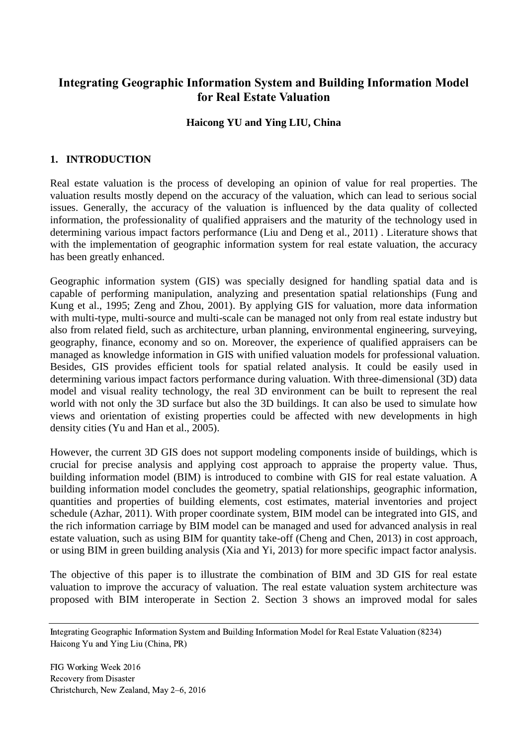# **Integrating Geographic Information System and Building Information Model for Real Estate Valuation**

# **Haicong YU and Ying LIU, China**

# **1. INTRODUCTION**

Real estate valuation is the process of developing an opinion of value for real properties. The valuation results mostly depend on the accuracy of the valuation, which can lead to serious social issues. Generally, the accuracy of the valuation is influenced by the data quality of collected information, the professionality of qualified appraisers and the maturity of the technology used in determining various impact factors performance (Liu and Deng et al., 2011) . Literature shows that with the implementation of geographic information system for real estate valuation, the accuracy has been greatly enhanced.

Geographic information system (GIS) was specially designed for handling spatial data and is capable of performing manipulation, analyzing and presentation spatial relationships (Fung and Kung et al., 1995; Zeng and Zhou, 2001). By applying GIS for valuation, more data information with multi-type, multi-source and multi-scale can be managed not only from real estate industry but also from related field, such as architecture, urban planning, environmental engineering, surveying, geography, finance, economy and so on. Moreover, the experience of qualified appraisers can be managed as knowledge information in GIS with unified valuation models for professional valuation. Besides, GIS provides efficient tools for spatial related analysis. It could be easily used in determining various impact factors performance during valuation. With three-dimensional (3D) data model and visual reality technology, the real 3D environment can be built to represent the real world with not only the 3D surface but also the 3D buildings. It can also be used to simulate how views and orientation of existing properties could be affected with new developments in high density cities (Yu and Han et al., 2005).

However, the current 3D GIS does not support modeling components inside of buildings, which is crucial for precise analysis and applying cost approach to appraise the property value. Thus, building information model (BIM) is introduced to combine with GIS for real estate valuation. A building information model concludes the geometry, spatial relationships, geographic information, quantities and properties of building elements, cost estimates, material inventories and project schedule (Azhar, 2011). With proper coordinate system, BIM model can be integrated into GIS, and the rich information carriage by BIM model can be managed and used for advanced analysis in real estate valuation, such as using BIM for quantity take-off (Cheng and Chen, 2013) in cost approach, or using BIM in green building analysis (Xia and Yi, 2013) for more specific impact factor analysis.

The objective of this paper is to illustrate the combination of BIM and 3D GIS for real estate valuation to improve the accuracy of valuation. The real estate valuation system architecture was proposed with BIM interoperate in Section 2. Section 3 shows an improved modal for sales

Integrating Geographic Information System and Building Information Model for Real Estate Valuation (8234) Haicong Yu and Ying Liu (China, PR)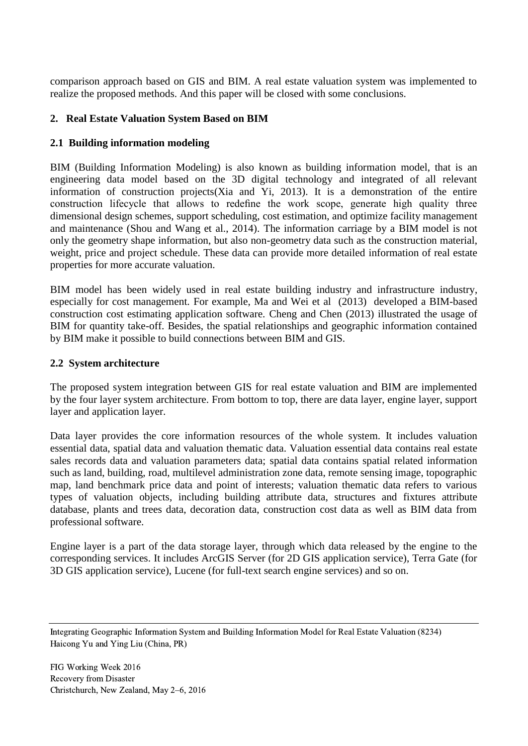comparison approach based on GIS and BIM. A real estate valuation system was implemented to realize the proposed methods. And this paper will be closed with some conclusions.

# **2. Real Estate Valuation System Based on BIM**

# **2.1 Building information modeling**

BIM (Building Information Modeling) is also known as building information model, that is an engineering data model based on the 3D digital technology and integrated of all relevant information of construction projects(Xia and Yi, 2013). It is a demonstration of the entire construction lifecycle that allows to redefine the work scope, generate high quality three dimensional design schemes, support scheduling, cost estimation, and optimize facility management and maintenance (Shou and Wang et al., 2014). The information carriage by a BIM model is not only the geometry shape information, but also non-geometry data such as the construction material, weight, price and project schedule. These data can provide more detailed information of real estate properties for more accurate valuation.

BIM model has been widely used in real estate building industry and infrastructure industry, especially for cost management. For example, Ma and Wei et al (2013) developed a BIM-based construction cost estimating application software. Cheng and Chen (2013) illustrated the usage of BIM for quantity take-off. Besides, the spatial relationships and geographic information contained by BIM make it possible to build connections between BIM and GIS.

# **2.2 System architecture**

The proposed system integration between GIS for real estate valuation and BIM are implemented by the four layer system architecture. From bottom to top, there are data layer, engine layer, support layer and application layer.

Data layer provides the core information resources of the whole system. It includes valuation essential data, spatial data and valuation thematic data. Valuation essential data contains real estate sales records data and valuation parameters data; spatial data contains spatial related information such as land, building, road, multilevel administration zone data, remote sensing image, topographic map, land benchmark price data and point of interests; valuation thematic data refers to various types of valuation objects, including building attribute data, structures and fixtures attribute database, plants and trees data, decoration data, construction cost data as well as BIM data from professional software.

Engine layer is a part of the data storage layer, through which data released by the engine to the corresponding services. It includes ArcGIS Server (for 2D GIS application service), Terra Gate (for 3D GIS application service), Lucene (for full-text search engine services) and so on.

Integrating Geographic Information System and Building Information Model for Real Estate Valuation (8234) Haicong Yu and Ying Liu (China, PR)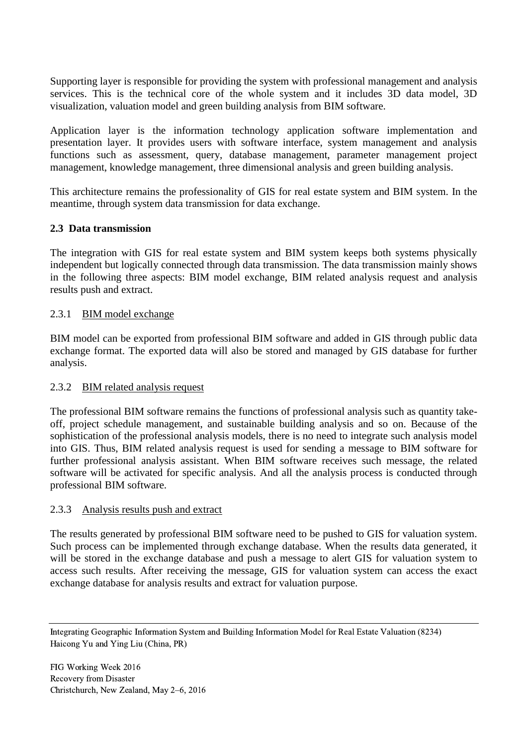Supporting layer is responsible for providing the system with professional management and analysis services. This is the technical core of the whole system and it includes 3D data model, 3D visualization, valuation model and green building analysis from BIM software.

Application layer is the information technology application software implementation and presentation layer. It provides users with software interface, system management and analysis functions such as assessment, query, database management, parameter management project management, knowledge management, three dimensional analysis and green building analysis.

This architecture remains the professionality of GIS for real estate system and BIM system. In the meantime, through system data transmission for data exchange.

# **2.3 Data transmission**

The integration with GIS for real estate system and BIM system keeps both systems physically independent but logically connected through data transmission. The data transmission mainly shows in the following three aspects: BIM model exchange, BIM related analysis request and analysis results push and extract.

#### 2.3.1 BIM model exchange

BIM model can be exported from professional BIM software and added in GIS through public data exchange format. The exported data will also be stored and managed by GIS database for further analysis.

# 2.3.2 BIM related analysis request

The professional BIM software remains the functions of professional analysis such as quantity takeoff, project schedule management, and sustainable building analysis and so on. Because of the sophistication of the professional analysis models, there is no need to integrate such analysis model into GIS. Thus, BIM related analysis request is used for sending a message to BIM software for further professional analysis assistant. When BIM software receives such message, the related software will be activated for specific analysis. And all the analysis process is conducted through professional BIM software.

#### 2.3.3 Analysis results push and extract

The results generated by professional BIM software need to be pushed to GIS for valuation system. Such process can be implemented through exchange database. When the results data generated, it will be stored in the exchange database and push a message to alert GIS for valuation system to access such results. After receiving the message, GIS for valuation system can access the exact exchange database for analysis results and extract for valuation purpose.

Integrating Geographic Information System and Building Information Model for Real Estate Valuation (8234) Haicong Yu and Ying Liu (China, PR)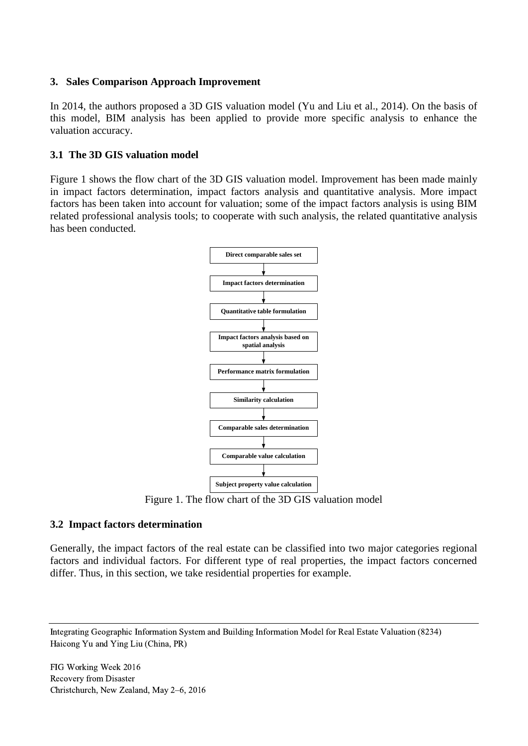#### **3. Sales Comparison Approach Improvement**

In 2014, the authors proposed a 3D GIS valuation model (Yu and Liu et al., 2014). On the basis of this model, BIM analysis has been applied to provide more specific analysis to enhance the valuation accuracy.

### **3.1 The 3D GIS valuation model**

Figure 1 shows the flow chart of the 3D GIS valuation model. Improvement has been made mainly in impact factors determination, impact factors analysis and quantitative analysis. More impact factors has been taken into account for valuation; some of the impact factors analysis is using BIM related professional analysis tools; to cooperate with such analysis, the related quantitative analysis has been conducted.



Figure 1. The flow chart of the 3D GIS valuation model

# **3.2 Impact factors determination**

Generally, the impact factors of the real estate can be classified into two major categories regional factors and individual factors. For different type of real properties, the impact factors concerned differ. Thus, in this section, we take residential properties for example.

Integrating Geographic Information System and Building Information Model for Real Estate Valuation (8234) Haicong Yu and Ying Liu (China, PR)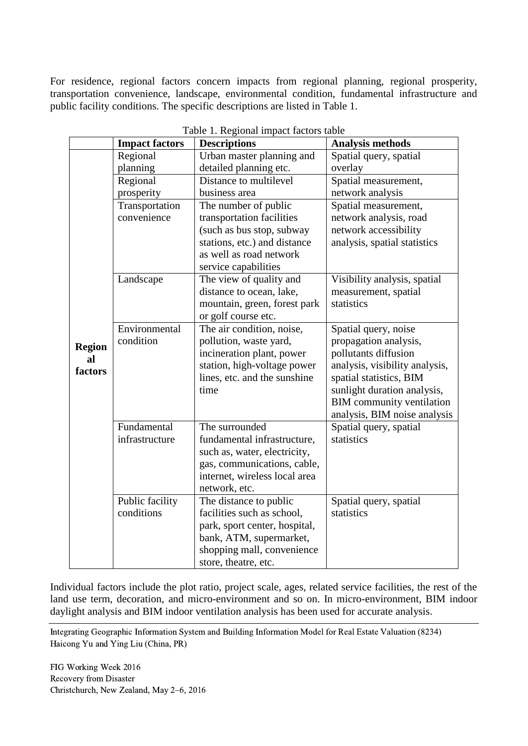For residence, regional factors concern impacts from regional planning, regional prosperity, transportation convenience, landscape, environmental condition, fundamental infrastructure and public facility conditions. The specific descriptions are listed in Table 1.

| raone 1. Regional impact factors taone |                               |                                                      |                                                      |  |  |  |  |  |  |  |  |
|----------------------------------------|-------------------------------|------------------------------------------------------|------------------------------------------------------|--|--|--|--|--|--|--|--|
|                                        | <b>Impact factors</b>         | <b>Descriptions</b>                                  | <b>Analysis methods</b>                              |  |  |  |  |  |  |  |  |
|                                        | Regional                      | Urban master planning and                            | Spatial query, spatial                               |  |  |  |  |  |  |  |  |
|                                        | planning                      | detailed planning etc.                               | overlay                                              |  |  |  |  |  |  |  |  |
|                                        | Regional                      | Distance to multilevel                               | Spatial measurement,                                 |  |  |  |  |  |  |  |  |
|                                        | prosperity                    | business area                                        | network analysis                                     |  |  |  |  |  |  |  |  |
|                                        | Transportation                | The number of public                                 | Spatial measurement,                                 |  |  |  |  |  |  |  |  |
|                                        | convenience                   | transportation facilities                            | network analysis, road                               |  |  |  |  |  |  |  |  |
|                                        |                               | (such as bus stop, subway                            | network accessibility                                |  |  |  |  |  |  |  |  |
|                                        |                               | stations, etc.) and distance                         | analysis, spatial statistics                         |  |  |  |  |  |  |  |  |
|                                        |                               | as well as road network                              |                                                      |  |  |  |  |  |  |  |  |
|                                        |                               | service capabilities                                 |                                                      |  |  |  |  |  |  |  |  |
|                                        | Landscape                     | The view of quality and<br>distance to ocean, lake,  | Visibility analysis, spatial<br>measurement, spatial |  |  |  |  |  |  |  |  |
|                                        |                               | mountain, green, forest park                         | statistics                                           |  |  |  |  |  |  |  |  |
|                                        |                               | or golf course etc.                                  |                                                      |  |  |  |  |  |  |  |  |
|                                        | Environmental                 | The air condition, noise,                            | Spatial query, noise                                 |  |  |  |  |  |  |  |  |
|                                        | condition                     | pollution, waste yard,                               | propagation analysis,                                |  |  |  |  |  |  |  |  |
| <b>Region</b><br>al                    |                               | incineration plant, power                            | pollutants diffusion                                 |  |  |  |  |  |  |  |  |
| factors                                |                               | station, high-voltage power                          | analysis, visibility analysis,                       |  |  |  |  |  |  |  |  |
|                                        |                               | lines, etc. and the sunshine                         | spatial statistics, BIM                              |  |  |  |  |  |  |  |  |
|                                        |                               | time                                                 | sunlight duration analysis,                          |  |  |  |  |  |  |  |  |
|                                        |                               |                                                      | <b>BIM</b> community ventilation                     |  |  |  |  |  |  |  |  |
|                                        |                               |                                                      | analysis, BIM noise analysis                         |  |  |  |  |  |  |  |  |
|                                        | Fundamental                   | The surrounded                                       | Spatial query, spatial                               |  |  |  |  |  |  |  |  |
|                                        | infrastructure                | fundamental infrastructure,                          | statistics                                           |  |  |  |  |  |  |  |  |
|                                        |                               | such as, water, electricity,                         |                                                      |  |  |  |  |  |  |  |  |
|                                        |                               | gas, communications, cable,                          |                                                      |  |  |  |  |  |  |  |  |
|                                        |                               | internet, wireless local area                        |                                                      |  |  |  |  |  |  |  |  |
|                                        |                               | network, etc.                                        |                                                      |  |  |  |  |  |  |  |  |
|                                        | Public facility<br>conditions | The distance to public<br>facilities such as school, | Spatial query, spatial<br>statistics                 |  |  |  |  |  |  |  |  |
|                                        |                               | park, sport center, hospital,                        |                                                      |  |  |  |  |  |  |  |  |
|                                        |                               | bank, ATM, supermarket,                              |                                                      |  |  |  |  |  |  |  |  |
|                                        |                               | shopping mall, convenience                           |                                                      |  |  |  |  |  |  |  |  |
|                                        |                               | store, theatre, etc.                                 |                                                      |  |  |  |  |  |  |  |  |
|                                        |                               |                                                      |                                                      |  |  |  |  |  |  |  |  |

Table 1. Regional impact factors table

Individual factors include the plot ratio, project scale, ages, related service facilities, the rest of the land use term, decoration, and micro-environment and so on. In micro-environment, BIM indoor daylight analysis and BIM indoor ventilation analysis has been used for accurate analysis.

Integrating Geographic Information System and Building Information Model for Real Estate Valuation (8234) Haicong Yu and Ying Liu (China, PR)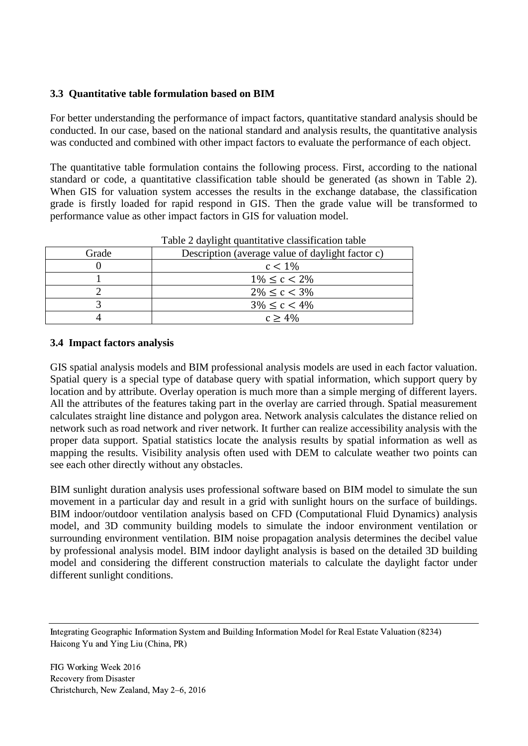# **3.3 Quantitative table formulation based on BIM**

For better understanding the performance of impact factors, quantitative standard analysis should be conducted. In our case, based on the national standard and analysis results, the quantitative analysis was conducted and combined with other impact factors to evaluate the performance of each object.

The quantitative table formulation contains the following process. First, according to the national standard or code, a quantitative classification table should be generated (as shown in Table 2). When GIS for valuation system accesses the results in the exchange database, the classification grade is firstly loaded for rapid respond in GIS. Then the grade value will be transformed to performance value as other impact factors in GIS for valuation model.

|       | I able 2 daylight quantitative classification table |  |  |
|-------|-----------------------------------------------------|--|--|
| Grade | Description (average value of daylight factor c)    |  |  |
|       | $c < 1\%$                                           |  |  |
|       | $1\% \le c < 2\%$                                   |  |  |
|       | $2\% \le c < 3\%$                                   |  |  |
|       | $3\% \le c < 4\%$                                   |  |  |
|       | $c \geq 4\%$                                        |  |  |
|       |                                                     |  |  |

Table 2 daylight quantitative classification table

#### **3.4 Impact factors analysis**

GIS spatial analysis models and BIM professional analysis models are used in each factor valuation. Spatial query is a special type of database query with spatial information, which support query by location and by attribute. Overlay operation is much more than a simple merging of different layers. All the attributes of the features taking part in the overlay are carried through. Spatial measurement calculates straight line distance and polygon area. Network analysis calculates the distance relied on network such as road network and river network. It further can realize accessibility analysis with the proper data support. Spatial statistics locate the analysis results by spatial information as well as mapping the results. Visibility analysis often used with DEM to calculate weather two points can see each other directly without any obstacles.

BIM sunlight duration analysis uses professional software based on BIM model to simulate the sun movement in a particular day and result in a grid with sunlight hours on the surface of buildings. BIM indoor/outdoor ventilation analysis based on CFD (Computational Fluid Dynamics) analysis model, and 3D community building models to simulate the indoor environment ventilation or surrounding environment ventilation. BIM noise propagation analysis determines the decibel value by professional analysis model. BIM indoor daylight analysis is based on the detailed 3D building model and considering the different construction materials to calculate the daylight factor under different sunlight conditions.

Integrating Geographic Information System and Building Information Model for Real Estate Valuation (8234) Haicong Yu and Ying Liu (China, PR)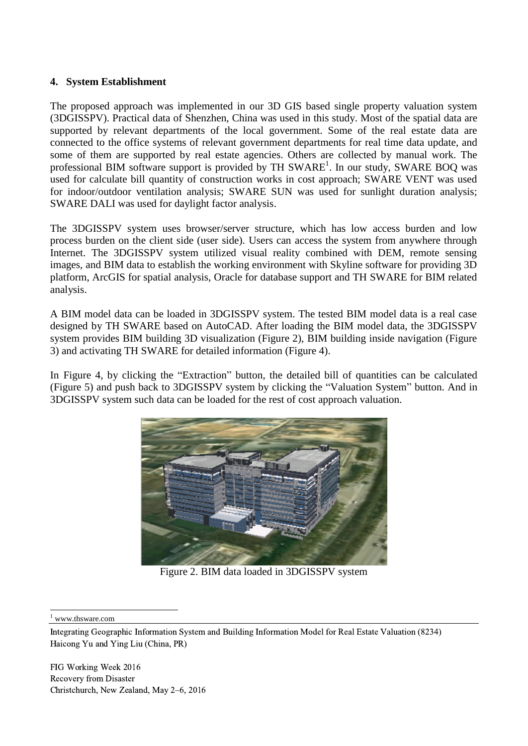### **4. System Establishment**

The proposed approach was implemented in our 3D GIS based single property valuation system (3DGISSPV). Practical data of Shenzhen, China was used in this study. Most of the spatial data are supported by relevant departments of the local government. Some of the real estate data are connected to the office systems of relevant government departments for real time data update, and some of them are supported by real estate agencies. Others are collected by manual work. The professional BIM software support is provided by TH SWARE<sup>1</sup>. In our study, SWARE BOQ was used for calculate bill quantity of construction works in cost approach; SWARE VENT was used for indoor/outdoor ventilation analysis; SWARE SUN was used for sunlight duration analysis; SWARE DALI was used for daylight factor analysis.

The 3DGISSPV system uses browser/server structure, which has low access burden and low process burden on the client side (user side). Users can access the system from anywhere through Internet. The 3DGISSPV system utilized visual reality combined with DEM, remote sensing images, and BIM data to establish the working environment with Skyline software for providing 3D platform, ArcGIS for spatial analysis, Oracle for database support and TH SWARE for BIM related analysis.

A BIM model data can be loaded in 3DGISSPV system. The tested BIM model data is a real case designed by TH SWARE based on AutoCAD. After loading the BIM model data, the 3DGISSPV system provides BIM building 3D visualization (Figure 2), BIM building inside navigation (Figure 3) and activating TH SWARE for detailed information (Figure 4).

In Figure 4, by clicking the "Extraction" button, the detailed bill of quantities can be calculated (Figure 5) and push back to 3DGISSPV system by clicking the "Valuation System" button. And in 3DGISSPV system such data can be loaded for the rest of cost approach valuation.



Figure 2. BIM data loaded in 3DGISSPV system

www.thsware.com

Integrating Geographic Information System and Building Information Model for Real Estate Valuation (8234) Haicong Yu and Ying Liu (China, PR)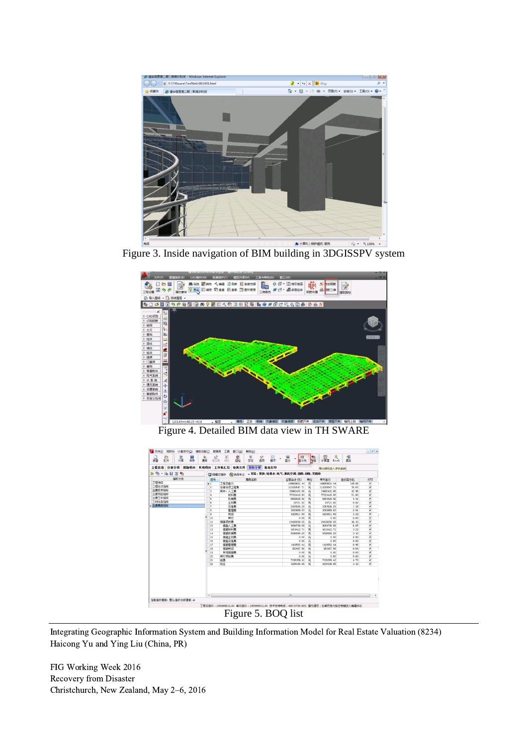

Figure 3. Inside navigation of BIM building in 3DGISSPV system



Figure 4. Detailed BIM data view in TH SWARE

|               | 需率<br>提加带 | $h^2$<br>茶箱<br>鄯<br>Ø<br>文跡<br>启<br>操作<br>自检           | Ψ<br>显示列<br>显示 | 鼎          | 屇<br>计算器<br>Excel | 组<br>過出 |                         |  |  |
|---------------|-----------|--------------------------------------------------------|----------------|------------|-------------------|---------|-------------------------|--|--|
|               |           | 工程信息 分部分项 措施项目 其他项目 工料机工总 取费文件 福标分析 报表打印               |                | 导出指标进入评估系统 |                   |         |                         |  |  |
| 3 4 - 4 日 2 4 |           | 23 隐藏空指标 第 选择专业 、 《 菜》、 菜饰: 给排水: 电气: 通风空调: 清防: 弱电: 变配电 |                |            |                   |         |                         |  |  |
| 指标分类          |           | 惠用名称                                                   | 金额合计(元)        | 单位         | 单方读价              | 请价百分比   | #TED                    |  |  |
| 工程特征          |           | 工程总装价                                                  | 149669631.44   | 元          | 149669631.44      | 100.00  | $\checkmark$            |  |  |
| 工程经济指标        |           | 分部分项工程素                                                | 113258547.71   | 元          | 113258547.71      | 75.67   | $\checkmark$            |  |  |
| 主要技术指标        |           | 其中:人工惠                                                 | 19402402.06    | 元          | 19402402 06       | 12.96   | $\checkmark$            |  |  |
| 主要项目指标        |           | 材料素                                                    | 77224418.93    | 元          | 77224418.93       | 51.60   | $\checkmark$            |  |  |
| 主要工科指标        |           | 机械器                                                    | 6601628.92     | 元          | 6601628.92        | 4.41    | $\checkmark$            |  |  |
| 工料分离指标        |           | 主材惠                                                    | 29721.02       | 元          | 29721.02          | 0.02    | $\checkmark$            |  |  |
| b 主要器用指标      | 7         | 设备费                                                    | 2067696.28     | 元          | 2067695.28        | 1.38    | $\checkmark$            |  |  |
|               | 8         | 管理素                                                    | 3003869.03     | 元          | 3003869.03        | 2.01    | $\checkmark$            |  |  |
|               |           | 利润                                                     | 4928811.89     | 元          | 4928811.89        | 3.29    | $\checkmark$            |  |  |
|               |           | 其它                                                     | 0.00           | 元          | 0.00              | 0.00    | $\checkmark$            |  |  |
|               |           | 措施项目素                                                  | 24439288.26    | 元          | 24439288 26       | 16.33   | $\overline{\mathbf{v}}$ |  |  |
|               |           | 措施人工费                                                  | 9084799.09     | 元          | 9084799.09        | 6.07    | $\checkmark$            |  |  |
|               |           | 措施材料费                                                  | 4818412.71     | 元          | 4818412.71        | 3.22    | $\checkmark$            |  |  |
|               | 14        | 措施机械费                                                  | 5086568.25     | 元          | 5086568.25        | 3.40    | $\checkmark$            |  |  |
|               | 15        | 措施主材费                                                  | 0.00           | 元          | 0.00              | 0.00    | $\checkmark$            |  |  |
|               | 16        | 措施设备费                                                  | 0.00           | 元          | 0.00              | 0.00    | $\checkmark$            |  |  |
|               | 17<br>18  | 措施管理费                                                  | 1428552.44     | 元          | 1428552 44        | 0.95    | $\checkmark$            |  |  |
|               |           | 措施利润                                                   | 953467.56      | 元          | 953467.56         | 0.64    | $\checkmark$            |  |  |
|               |           | 其他措施素                                                  | 0.00.          | 元          | 0.00              | 0.00    | $\checkmark$            |  |  |
|               |           | 其它场日素                                                  | 0.00           | 元          | 0.00              | 0.00    | $\checkmark$            |  |  |
|               | 21        | 规邀                                                     | 7036359.42     | 元          | 7036359.42        | 4.70    | $\checkmark$            |  |  |
|               | 22        | 授金                                                     | 4935436.05 元   |            | 4935436.05        | 3.30    | $\checkmark$            |  |  |

# Figure 5. BOQ list

Integrating Geographic Information System and Building Information Model for Real Estate Valuation (8234) Haicong Yu and Ying Liu (China, PR)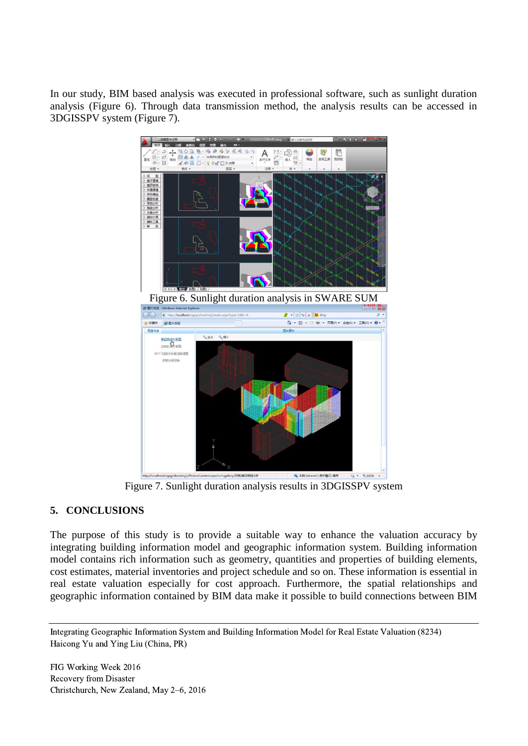In our study, BIM based analysis was executed in professional software, such as sunlight duration analysis (Figure 6). Through data transmission method, the analysis results can be accessed in 3DGISSPV system (Figure 7).



Figure 7. Sunlight duration analysis results in 3DGISSPV system

# **5. CONCLUSIONS**

The purpose of this study is to provide a suitable way to enhance the valuation accuracy by integrating building information model and geographic information system. Building information model contains rich information such as geometry, quantities and properties of building elements, cost estimates, material inventories and project schedule and so on. These information is essential in real estate valuation especially for cost approach. Furthermore, the spatial relationships and geographic information contained by BIM data make it possible to build connections between BIM

Integrating Geographic Information System and Building Information Model for Real Estate Valuation (8234) Haicong Yu and Ying Liu (China, PR)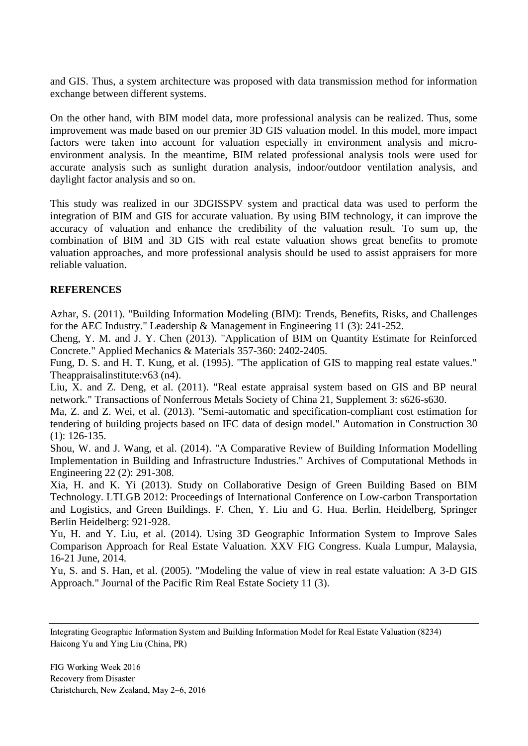and GIS. Thus, a system architecture was proposed with data transmission method for information exchange between different systems.

On the other hand, with BIM model data, more professional analysis can be realized. Thus, some improvement was made based on our premier 3D GIS valuation model. In this model, more impact factors were taken into account for valuation especially in environment analysis and microenvironment analysis. In the meantime, BIM related professional analysis tools were used for accurate analysis such as sunlight duration analysis, indoor/outdoor ventilation analysis, and daylight factor analysis and so on.

This study was realized in our 3DGISSPV system and practical data was used to perform the integration of BIM and GIS for accurate valuation. By using BIM technology, it can improve the accuracy of valuation and enhance the credibility of the valuation result. To sum up, the combination of BIM and 3D GIS with real estate valuation shows great benefits to promote valuation approaches, and more professional analysis should be used to assist appraisers for more reliable valuation.

# **REFERENCES**

Azhar, S. (2011). "Building Information Modeling (BIM): Trends, Benefits, Risks, and Challenges for the AEC Industry." Leadership & Management in Engineering 11 (3): 241-252.

Cheng, Y. M. and J. Y. Chen (2013). "Application of BIM on Quantity Estimate for Reinforced Concrete." Applied Mechanics & Materials 357-360: 2402-2405.

Fung, D. S. and H. T. Kung, et al. (1995). "The application of GIS to mapping real estate values." Theappraisalinstitute:v63 (n4).

Liu, X. and Z. Deng, et al. (2011). "Real estate appraisal system based on GIS and BP neural network." Transactions of Nonferrous Metals Society of China 21, Supplement 3: s626-s630.

Ma, Z. and Z. Wei, et al. (2013). "Semi-automatic and specification-compliant cost estimation for tendering of building projects based on IFC data of design model." Automation in Construction 30 (1): 126-135.

Shou, W. and J. Wang, et al. (2014). "A Comparative Review of Building Information Modelling Implementation in Building and Infrastructure Industries." Archives of Computational Methods in Engineering 22 (2): 291-308.

Xia, H. and K. Yi (2013). Study on Collaborative Design of Green Building Based on BIM Technology. LTLGB 2012: Proceedings of International Conference on Low-carbon Transportation and Logistics, and Green Buildings. F. Chen, Y. Liu and G. Hua. Berlin, Heidelberg, Springer Berlin Heidelberg: 921-928.

Yu, H. and Y. Liu, et al. (2014). Using 3D Geographic Information System to Improve Sales Comparison Approach for Real Estate Valuation. XXV FIG Congress. Kuala Lumpur, Malaysia, 16-21 June, 2014.

Yu, S. and S. Han, et al. (2005). "Modeling the value of view in real estate valuation: A 3-D GIS Approach." Journal of the Pacific Rim Real Estate Society 11 (3).

Integrating Geographic Information System and Building Information Model for Real Estate Valuation (8234) Haicong Yu and Ying Liu (China, PR)